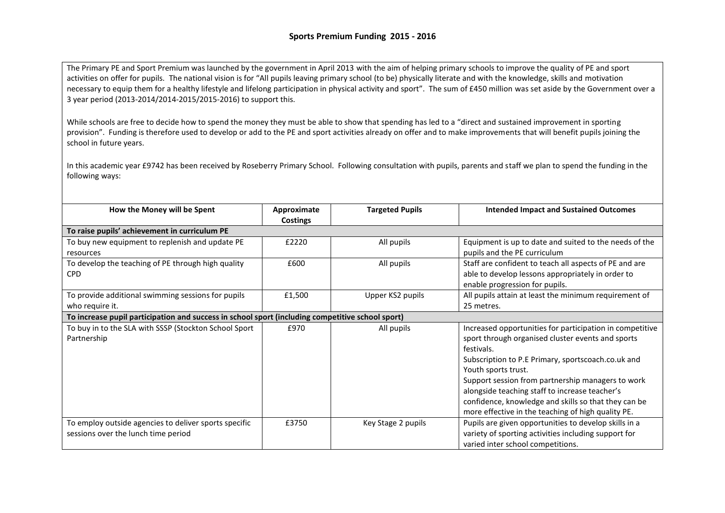The Primary PE and Sport Premium was launched by the government in April 2013 with the aim of helping primary schools to improve the quality of PE and sport activities on offer for pupils. The national vision is for "All pupils leaving primary school (to be) physically literate and with the knowledge, skills and motivation necessary to equip them for a healthy lifestyle and lifelong participation in physical activity and sport". The sum of £450 million was set aside by the Government over a 3 year period (2013-2014/2014-2015/2015-2016) to support this.

While schools are free to decide how to spend the money they must be able to show that spending has led to a "direct and sustained improvement in sporting provision". Funding is therefore used to develop or add to the PE and sport activities already on offer and to make improvements that will benefit pupils joining the school in future years.

In this academic year £9742 has been received by Roseberry Primary School. Following consultation with pupils, parents and staff we plan to spend the funding in the following ways:

| How the Money will be Spent                                                                      | Approximate<br>Costings | <b>Targeted Pupils</b> | <b>Intended Impact and Sustained Outcomes</b>                                                                                                                                                                                                                                                                                                                                                                                 |  |
|--------------------------------------------------------------------------------------------------|-------------------------|------------------------|-------------------------------------------------------------------------------------------------------------------------------------------------------------------------------------------------------------------------------------------------------------------------------------------------------------------------------------------------------------------------------------------------------------------------------|--|
| To raise pupils' achievement in curriculum PE                                                    |                         |                        |                                                                                                                                                                                                                                                                                                                                                                                                                               |  |
| To buy new equipment to replenish and update PE<br>resources                                     | £2220                   | All pupils             | Equipment is up to date and suited to the needs of the<br>pupils and the PE curriculum                                                                                                                                                                                                                                                                                                                                        |  |
| To develop the teaching of PE through high quality<br><b>CPD</b>                                 | £600                    | All pupils             | Staff are confident to teach all aspects of PE and are<br>able to develop lessons appropriately in order to<br>enable progression for pupils.                                                                                                                                                                                                                                                                                 |  |
| To provide additional swimming sessions for pupils<br>who require it.                            | £1,500                  | Upper KS2 pupils       | All pupils attain at least the minimum requirement of<br>25 metres.                                                                                                                                                                                                                                                                                                                                                           |  |
| To increase pupil participation and success in school sport (including competitive school sport) |                         |                        |                                                                                                                                                                                                                                                                                                                                                                                                                               |  |
| To buy in to the SLA with SSSP (Stockton School Sport<br>Partnership                             | £970                    | All pupils             | Increased opportunities for participation in competitive<br>sport through organised cluster events and sports<br>festivals.<br>Subscription to P.E Primary, sportscoach.co.uk and<br>Youth sports trust.<br>Support session from partnership managers to work<br>alongside teaching staff to increase teacher's<br>confidence, knowledge and skills so that they can be<br>more effective in the teaching of high quality PE. |  |
| To employ outside agencies to deliver sports specific<br>sessions over the lunch time period     | £3750                   | Key Stage 2 pupils     | Pupils are given opportunities to develop skills in a<br>variety of sporting activities including support for<br>varied inter school competitions.                                                                                                                                                                                                                                                                            |  |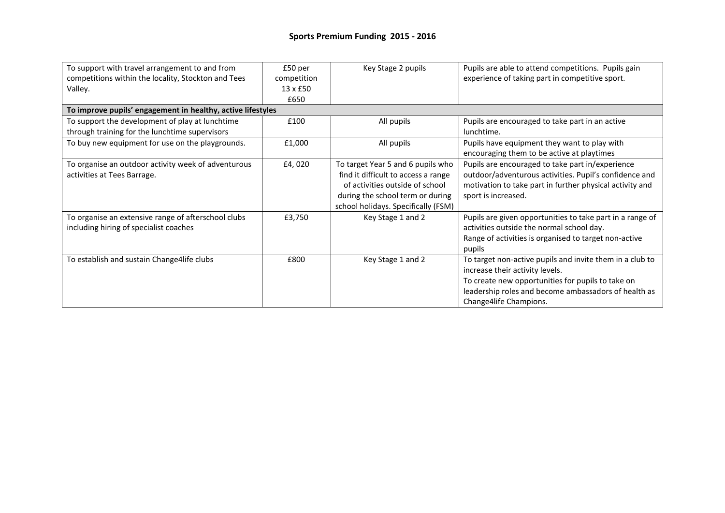| To support with travel arrangement to and from              | £50 per         | Key Stage 2 pupils                  | Pupils are able to attend competitions. Pupils gain       |  |  |
|-------------------------------------------------------------|-----------------|-------------------------------------|-----------------------------------------------------------|--|--|
| competitions within the locality, Stockton and Tees         | competition     |                                     | experience of taking part in competitive sport.           |  |  |
| Valley.                                                     | $13 \times £50$ |                                     |                                                           |  |  |
|                                                             | £650            |                                     |                                                           |  |  |
| To improve pupils' engagement in healthy, active lifestyles |                 |                                     |                                                           |  |  |
| To support the development of play at lunchtime             | £100            | All pupils                          | Pupils are encouraged to take part in an active           |  |  |
| through training for the lunchtime supervisors              |                 |                                     | lunchtime.                                                |  |  |
| To buy new equipment for use on the playgrounds.            | £1,000          | All pupils                          | Pupils have equipment they want to play with              |  |  |
|                                                             |                 |                                     | encouraging them to be active at playtimes                |  |  |
| To organise an outdoor activity week of adventurous         | £4,020          | To target Year 5 and 6 pupils who   | Pupils are encouraged to take part in/experience          |  |  |
| activities at Tees Barrage.                                 |                 | find it difficult to access a range | outdoor/adventurous activities. Pupil's confidence and    |  |  |
|                                                             |                 | of activities outside of school     | motivation to take part in further physical activity and  |  |  |
|                                                             |                 | during the school term or during    | sport is increased.                                       |  |  |
|                                                             |                 | school holidays. Specifically (FSM) |                                                           |  |  |
| To organise an extensive range of afterschool clubs         | £3,750          | Key Stage 1 and 2                   | Pupils are given opportunities to take part in a range of |  |  |
| including hiring of specialist coaches                      |                 |                                     | activities outside the normal school day.                 |  |  |
|                                                             |                 |                                     | Range of activities is organised to target non-active     |  |  |
|                                                             |                 |                                     | pupils                                                    |  |  |
| To establish and sustain Change4life clubs                  | £800            | Key Stage 1 and 2                   | To target non-active pupils and invite them in a club to  |  |  |
|                                                             |                 |                                     | increase their activity levels.                           |  |  |
|                                                             |                 |                                     | To create new opportunities for pupils to take on         |  |  |
|                                                             |                 |                                     | leadership roles and become ambassadors of health as      |  |  |
|                                                             |                 |                                     | Change4life Champions.                                    |  |  |